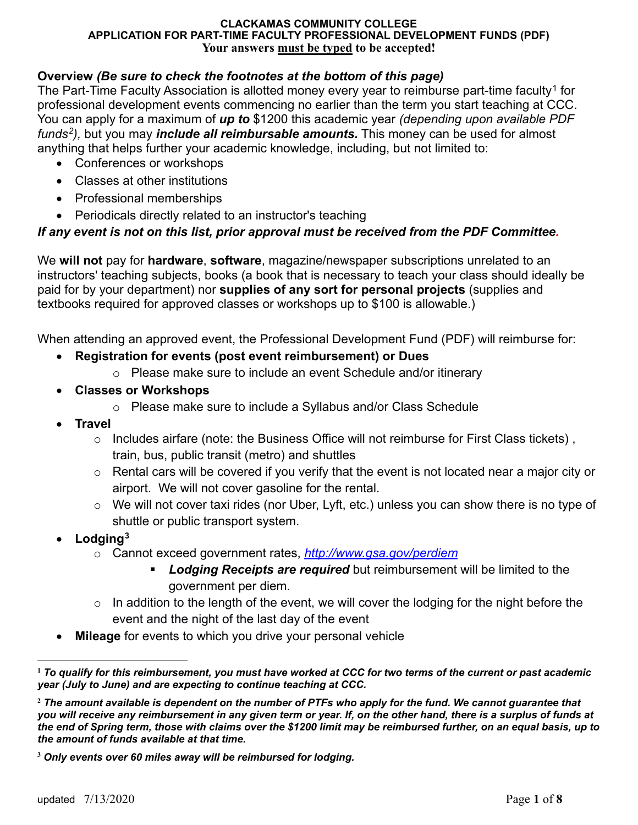## **Overview** *(Be sure to check the footnotes at the bottom of this page)*

The Part-Time Faculty Association is allotted money every year to reimburse part-time faculty<sup>[1](#page-0-0)</sup> for professional development events commencing no earlier than the term you start teaching at CCC. You can apply for a maximum of *up to* \$1200 this academic year *(depending upon available PDF funds[2](#page-0-1)),* but you may *include all reimbursable amounts.* This money can be used for almost anything that helps further your academic knowledge, including, but not limited to:

- Conferences or workshops
- Classes at other institutions
- Professional memberships
- Periodicals directly related to an instructor's teaching

## *If any event is not on this list, prior approval must be received from the PDF Committee.*

We **will not** pay for **hardware**, **software**, magazine/newspaper subscriptions unrelated to an instructors' teaching subjects, books (a book that is necessary to teach your class should ideally be paid for by your department) nor **supplies of any sort for personal projects** (supplies and textbooks required for approved classes or workshops up to \$100 is allowable.)

When attending an approved event, the Professional Development Fund (PDF) will reimburse for:

## • **Registration for events (post event reimbursement) or Dues**

- o Please make sure to include an event Schedule and/or itinerary
- **Classes or Workshops** 
	- o Please make sure to include a Syllabus and/or Class Schedule
- **Travel**
	- o Includes airfare (note: the Business Office will not reimburse for First Class tickets) , train, bus, public transit (metro) and shuttles
	- $\circ$  Rental cars will be covered if you verify that the event is not located near a major city or airport. We will not cover gasoline for the rental.
	- o We will not cover taxi rides (nor Uber, Lyft, etc.) unless you can show there is no type of shuttle or public transport system.
- **Lodging[3](#page-0-2)**
	- o Cannot exceed government rates, *<http://www.gsa.gov/perdiem>*
		- *Lodging Receipts are required* but reimbursement will be limited to the government per diem.
	- o In addition to the length of the event, we will cover the lodging for the night before the event and the night of the last day of the event
- **Mileage** for events to which you drive your personal vehicle

<span id="page-0-0"></span> $\overline{a}$ **<sup>1</sup>** *To qualify for this reimbursement, you must have worked at CCC for two terms of the current or past academic year (July to June) and are expecting to continue teaching at CCC.* 

<span id="page-0-1"></span>**<sup>2</sup>** *The amount available is dependent on the number of PTFs who apply for the fund. We cannot guarantee that you will receive any reimbursement in any given term or year. If, on the other hand, there is a surplus of funds at the end of Spring term, those with claims over the \$1200 limit may be reimbursed further, on an equal basis, up to the amount of funds available at that time.*

<span id="page-0-2"></span>**<sup>3</sup>** *Only events over 60 miles away will be reimbursed for lodging.*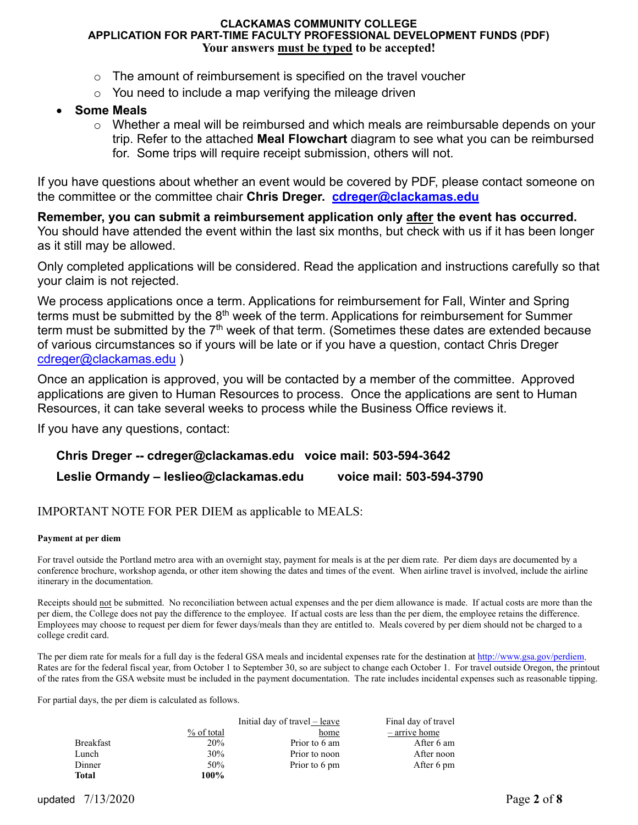- $\circ$  The amount of reimbursement is specified on the travel voucher
- $\circ$  You need to include a map verifying the mileage driven

## • **Some Meals**

 $\circ$  Whether a meal will be reimbursed and which meals are reimbursable depends on your trip. Refer to the attached **Meal Flowchart** diagram to see what you can be reimbursed for. Some trips will require receipt submission, others will not.

If you have questions about whether an event would be covered by PDF, please contact someone on the committee or the committee chair **Chris Dreger. [cdreger@clackamas.edu](mailto:cdreger@clackamas.edu)**

**Remember, you can submit a reimbursement application only after the event has occurred.**  You should have attended the event within the last six months, but check with us if it has been longer as it still may be allowed.

Only completed applications will be considered. Read the application and instructions carefully so that your claim is not rejected.

We process applications once a term. Applications for reimbursement for Fall, Winter and Spring terms must be submitted by the 8<sup>th</sup> week of the term. Applications for reimbursement for Summer term must be submitted by the 7<sup>th</sup> week of that term. (Sometimes these dates are extended because of various circumstances so if yours will be late or if you have a question, contact Chris Dreger [cdreger@clackamas.edu](mailto:cdreger@clackamas.edu) )

Once an application is approved, you will be contacted by a member of the committee. Approved applications are given to Human Resources to process. Once the applications are sent to Human Resources, it can take several weeks to process while the Business Office reviews it.

If you have any questions, contact:

## **Chris Dreger -- cdreger@clackamas.edu voice mail: 503-594-3642**

### **Leslie Ormandy – leslieo@clackamas.edu voice mail: [503-594-3790](tel://15035943790/)**

#### IMPORTANT NOTE FOR PER DIEM as applicable to MEALS:

#### **Payment at per diem**

For travel outside the Portland metro area with an overnight stay, payment for meals is at the per diem rate. Per diem days are documented by a conference brochure, workshop agenda, or other item showing the dates and times of the event. When airline travel is involved, include the airline itinerary in the documentation.

Receipts should not be submitted. No reconciliation between actual expenses and the per diem allowance is made. If actual costs are more than the per diem, the College does not pay the difference to the employee. If actual costs are less than the per diem, the employee retains the difference. Employees may choose to request per diem for fewer days/meals than they are entitled to. Meals covered by per diem should not be charged to a college credit card.

The per diem rate for meals for a full day is the federal GSA meals and incidental expenses rate for the destination a[t http://www.gsa.gov/perdiem.](http://www.gsa.gov/perdiem) Rates are for the federal fiscal year, from October 1 to September 30, so are subject to change each October 1. For travel outside Oregon, the printout of the rates from the GSA website must be included in the payment documentation. The rate includes incidental expenses such as reasonable tipping.

For partial days, the per diem is calculated as follows.

|                  |              | Initial day of travel – leave | Final day of travel |
|------------------|--------------|-------------------------------|---------------------|
|                  | $%$ of total | home                          | – arrive home       |
| <b>Breakfast</b> | 20%          | Prior to 6 am                 | After 6 am          |
| Lunch            | 30%          | Prior to noon                 | After noon          |
| Dinner           | 50%          | Prior to 6 pm                 | After 6 pm          |
| Total            | 100%         |                               |                     |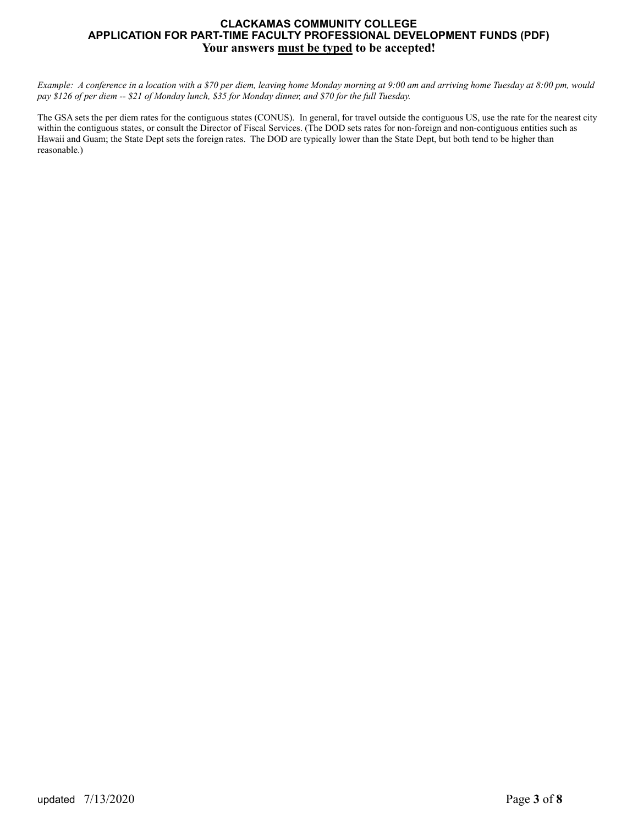*Example: A conference in a location with a \$70 per diem, leaving home Monday morning at 9:00 am and arriving home Tuesday at 8:00 pm, would pay \$126 of per diem -- \$21 of Monday lunch, \$35 for Monday dinner, and \$70 for the full Tuesday.* 

The GSA sets the per diem rates for the contiguous states (CONUS). In general, for travel outside the contiguous US, use the rate for the nearest city within the contiguous states, or consult the Director of Fiscal Services. (The DOD sets rates for non-foreign and non-contiguous entities such as Hawaii and Guam; the State Dept sets the foreign rates. The DOD are typically lower than the State Dept, but both tend to be higher than reasonable.)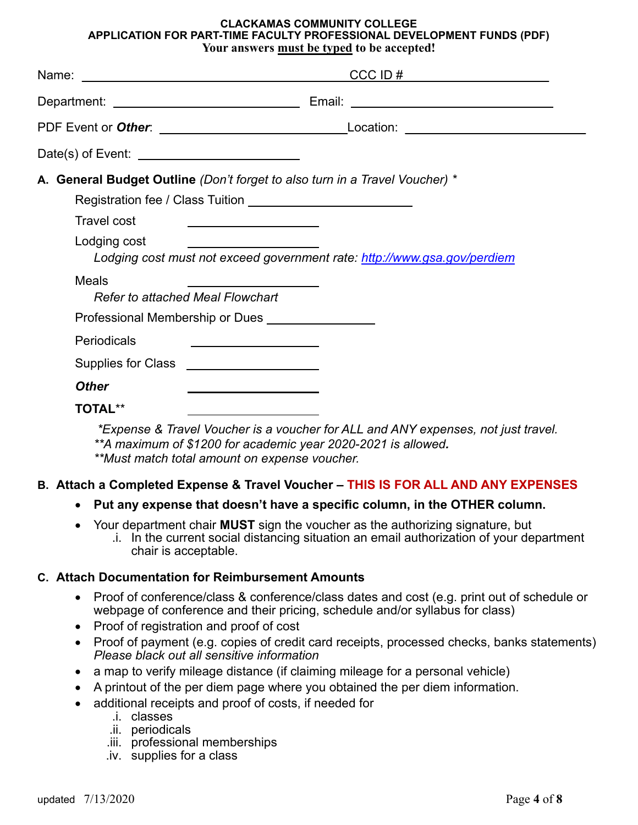|                                                                                                                                                                                                                                                                                                                           | $CCC ID \#$                                                                       |
|---------------------------------------------------------------------------------------------------------------------------------------------------------------------------------------------------------------------------------------------------------------------------------------------------------------------------|-----------------------------------------------------------------------------------|
|                                                                                                                                                                                                                                                                                                                           |                                                                                   |
|                                                                                                                                                                                                                                                                                                                           |                                                                                   |
|                                                                                                                                                                                                                                                                                                                           |                                                                                   |
| A. General Budget Outline (Don't forget to also turn in a Travel Voucher) *                                                                                                                                                                                                                                               |                                                                                   |
| <b>Travel cost</b><br><u> 1989 - Jan James James Jan James James Jan James James Jan James James Jan James James Jan James James Jan J</u><br>Lodging cost<br>the contract of the contract of the contract of the contract of the contract of<br>Lodging cost must not exceed government rate: http://www.gsa.gov/perdiem |                                                                                   |
| Meals<br><b>Refer to attached Meal Flowchart</b>                                                                                                                                                                                                                                                                          |                                                                                   |
| Professional Membership or Dues<br><u>Letter and the subset of the subset of the subset of the subset of the subset of the subset of the subset of the subset of the subset of the subset of the subset of the subset of the subse</u>                                                                                    |                                                                                   |
| Periodicals<br><u> 1980 - Johann Barbara, martin amerikan basar dan basar dan basar dalam basar dalam basar dalam basar dalam ba</u>                                                                                                                                                                                      |                                                                                   |
|                                                                                                                                                                                                                                                                                                                           |                                                                                   |
| <b>Other</b>                                                                                                                                                                                                                                                                                                              |                                                                                   |
| <b>TOTAL**</b>                                                                                                                                                                                                                                                                                                            | *Expense & Travel Voucher is a voucher for ALL and ANY expenses, not just travel. |

*\*\*A maximum of \$1200 for academic year 2020-2021 is allowed.* *\*\*Must match total amount on expense voucher.*

## **B. Attach a Completed Expense & Travel Voucher – THIS IS FOR ALL AND ANY EXPENSES**

- **Put any expense that doesn't have a specific column, in the OTHER column.**
- Your department chair **MUST** sign the voucher as the authorizing signature, but
	- .i. In the current social distancing situation an email authorization of your department chair is acceptable.

## **C. Attach Documentation for Reimbursement Amounts**

- Proof of conference/class & conference/class dates and cost (e.g. print out of schedule or webpage of conference and their pricing, schedule and/or syllabus for class)
- Proof of registration and proof of cost
- Proof of payment (e.g. copies of credit card receipts, processed checks, banks statements) *Please black out all sensitive information*
- a map to verify mileage distance (if claiming mileage for a personal vehicle)
- A printout of the per diem page where you obtained the per diem information.
- additional receipts and proof of costs, if needed for
	- .i. classes
		- .ii. periodicals
		- .iii. professional memberships
		- .iv. supplies for a class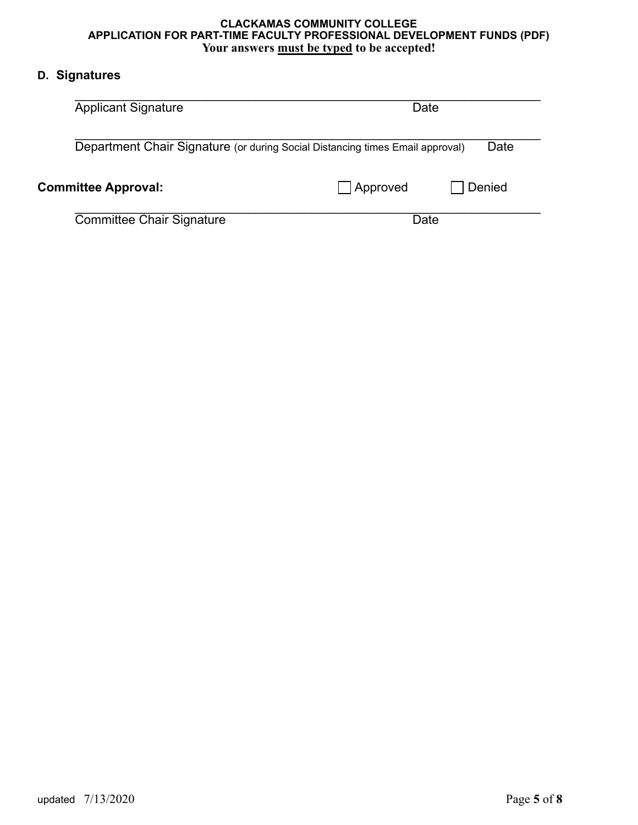## **D. Signatures**

| <b>Applicant Signature</b>                                                    | Date               |  |  |
|-------------------------------------------------------------------------------|--------------------|--|--|
| Department Chair Signature (or during Social Distancing times Email approval) | Date               |  |  |
| <b>Committee Approval:</b>                                                    | Denied<br>Approved |  |  |
| <b>Committee Chair Signature</b>                                              | Date               |  |  |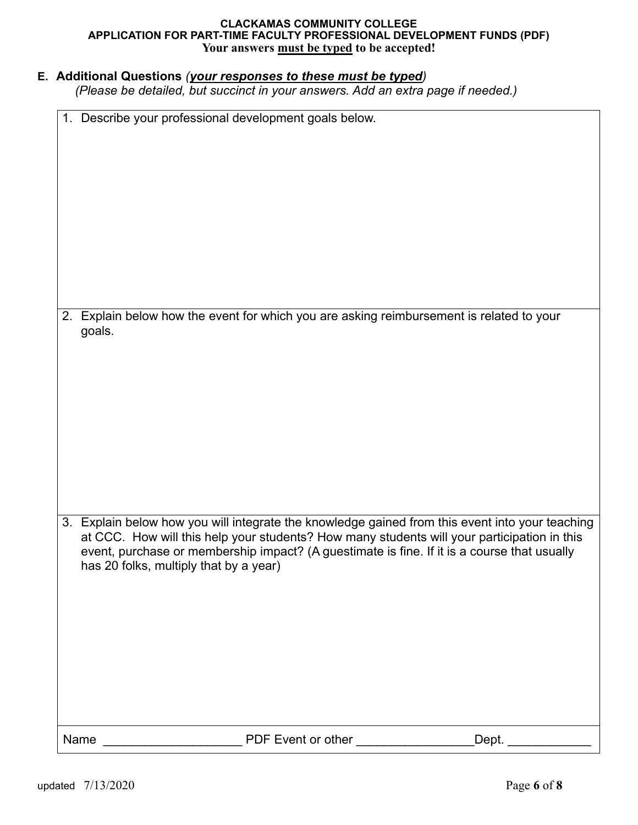## **E. Additional Questions** *(your responses to these must be typed)*

*(Please be detailed, but succinct in your answers. Add an extra page if needed.)*

| 1. Describe your professional development goals below.                                                                                                                                         |  |
|------------------------------------------------------------------------------------------------------------------------------------------------------------------------------------------------|--|
|                                                                                                                                                                                                |  |
|                                                                                                                                                                                                |  |
|                                                                                                                                                                                                |  |
|                                                                                                                                                                                                |  |
|                                                                                                                                                                                                |  |
|                                                                                                                                                                                                |  |
|                                                                                                                                                                                                |  |
|                                                                                                                                                                                                |  |
|                                                                                                                                                                                                |  |
|                                                                                                                                                                                                |  |
| 2. Explain below how the event for which you are asking reimbursement is related to your                                                                                                       |  |
| goals.                                                                                                                                                                                         |  |
|                                                                                                                                                                                                |  |
|                                                                                                                                                                                                |  |
|                                                                                                                                                                                                |  |
|                                                                                                                                                                                                |  |
|                                                                                                                                                                                                |  |
|                                                                                                                                                                                                |  |
|                                                                                                                                                                                                |  |
|                                                                                                                                                                                                |  |
|                                                                                                                                                                                                |  |
|                                                                                                                                                                                                |  |
| 3. Explain below how you will integrate the knowledge gained from this event into your teaching<br>at CCC. How will this help your students? How many students will your participation in this |  |
| event, purchase or membership impact? (A guestimate is fine. If it is a course that usually                                                                                                    |  |
| has 20 folks, multiply that by a year)                                                                                                                                                         |  |
|                                                                                                                                                                                                |  |
|                                                                                                                                                                                                |  |
|                                                                                                                                                                                                |  |
|                                                                                                                                                                                                |  |
|                                                                                                                                                                                                |  |
|                                                                                                                                                                                                |  |
|                                                                                                                                                                                                |  |
|                                                                                                                                                                                                |  |
|                                                                                                                                                                                                |  |
| PDF Event or other<br>Dept.<br>Name                                                                                                                                                            |  |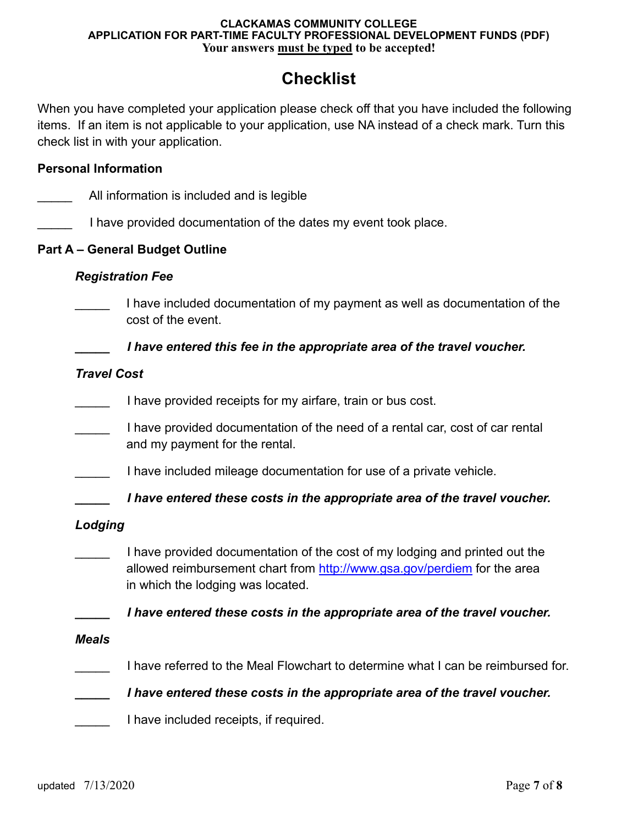# **Checklist**

When you have completed your application please check off that you have included the following items. If an item is not applicable to your application, use NA instead of a check mark. Turn this check list in with your application.

## **Personal Information**

|                    | All information is included and is legible                                                                                                                                                   |
|--------------------|----------------------------------------------------------------------------------------------------------------------------------------------------------------------------------------------|
|                    | I have provided documentation of the dates my event took place.                                                                                                                              |
|                    | <b>Part A - General Budget Outline</b>                                                                                                                                                       |
|                    | <b>Registration Fee</b>                                                                                                                                                                      |
|                    | I have included documentation of my payment as well as documentation of the<br>cost of the event.                                                                                            |
|                    | I have entered this fee in the appropriate area of the travel voucher.                                                                                                                       |
| <b>Travel Cost</b> |                                                                                                                                                                                              |
|                    | I have provided receipts for my airfare, train or bus cost.                                                                                                                                  |
|                    | I have provided documentation of the need of a rental car, cost of car rental<br>and my payment for the rental.                                                                              |
|                    | I have included mileage documentation for use of a private vehicle.                                                                                                                          |
|                    | I have entered these costs in the appropriate area of the travel voucher.                                                                                                                    |
| Lodging            |                                                                                                                                                                                              |
|                    | I have provided documentation of the cost of my lodging and printed out the<br>allowed reimbursement chart from http://www.gsa.gov/perdiem for the area<br>in which the lodging was located. |
|                    | I have entered these costs in the appropriate area of the travel voucher.                                                                                                                    |
| <b>Meals</b>       |                                                                                                                                                                                              |
|                    | I have referred to the Meal Flowchart to determine what I can be reimbursed for.                                                                                                             |
|                    | I have entered these costs in the appropriate area of the travel voucher.                                                                                                                    |
|                    | I have included receipts, if required.                                                                                                                                                       |